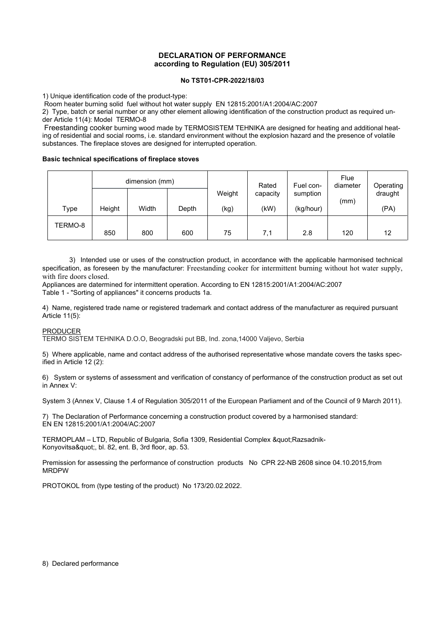# **DECLARATION OF PERFORMANCE according to Regulation (EU) 305/2011**

### **No TST01-CPR-2022/18/03**

1) Unique identification code of the product-type:

Room heater burning solid fuel without hot water supply EN 12815:2001/A1:2004/AC:2007

2) Type, batch or serial number or any other element allowing identification of the construction product as required under Article 11(4): Model TERMO-8

Freestanding cooker burning wood made by TERMOSISTEM TEHNIKA are designed for heating and additional heating of residential and social rooms, i.e. standard environment without the explosion hazard and the presence of volatile substances. The fireplace stoves are designed for interrupted operation.

#### **Basic technical specifications of fireplace stoves**

|         | dimension (mm) |       |       |        | Rated    | Fuel con- | Flue<br>diameter | Operating |
|---------|----------------|-------|-------|--------|----------|-----------|------------------|-----------|
|         |                |       |       | Weight | capacity | sumption  | (mm)             | draught   |
| Type    | Height         | Width | Depth | (kg)   | (kW)     | (kg/hour) |                  | (PA)      |
| TERMO-8 |                |       |       |        |          |           |                  |           |
|         | 850            | 800   | 600   | 75     | 7,1      | 2.8       | 120              | 12        |

3) Intended use or uses of the construction product, in accordance with the applicable harmonised technical specification, as foreseen by the manufacturer: Freestanding cooker for intermittent burning without hot water supply, with fire doors closed.

Appliances are datermined for intermittent operation. According to EN 12815:2001/A1:2004/AC:2007 Table 1 - "Sorting of appliances" it concerns products 1a.

4) Name, registered trade name or registered trademark and contact address of the manufacturer as required pursuant Article 11(5):

## PRODUCER

TERMO SISTEM TEHNIKA D.O.O, Beogradski put BB, Ind. zona,14000 Valjevo, Serbia

5) Where applicable, name and contact address of the authorised representative whose mandate covers the tasks specified in Article 12 (2):

6) System or systems of assessment and verification of constancy of performance of the construction product as set out in Annex V:

System 3 (Annex V, Clause 1.4 of Regulation 305/2011 of the European Parliament and of the Council of 9 March 2011).

7) The Declaration of Performance concerning a construction product covered by a harmonised standard: EN EN 12815:2001/A1:2004/AC:2007

TERMOPLAM - LTD, Republic of Bulgaria, Sofia 1309, Residential Complex " Razsadnik-Konyovitsa", bl. 82, ent. B, 3rd floor, ap. 53.

Premission for assessing the performance of construction products No CPR 22-NB 2608 since 04.10.2015,from MRDPW

PROTOKOL from (type testing of the product) No 173/20.02.2022.

#### 8) Declared performance